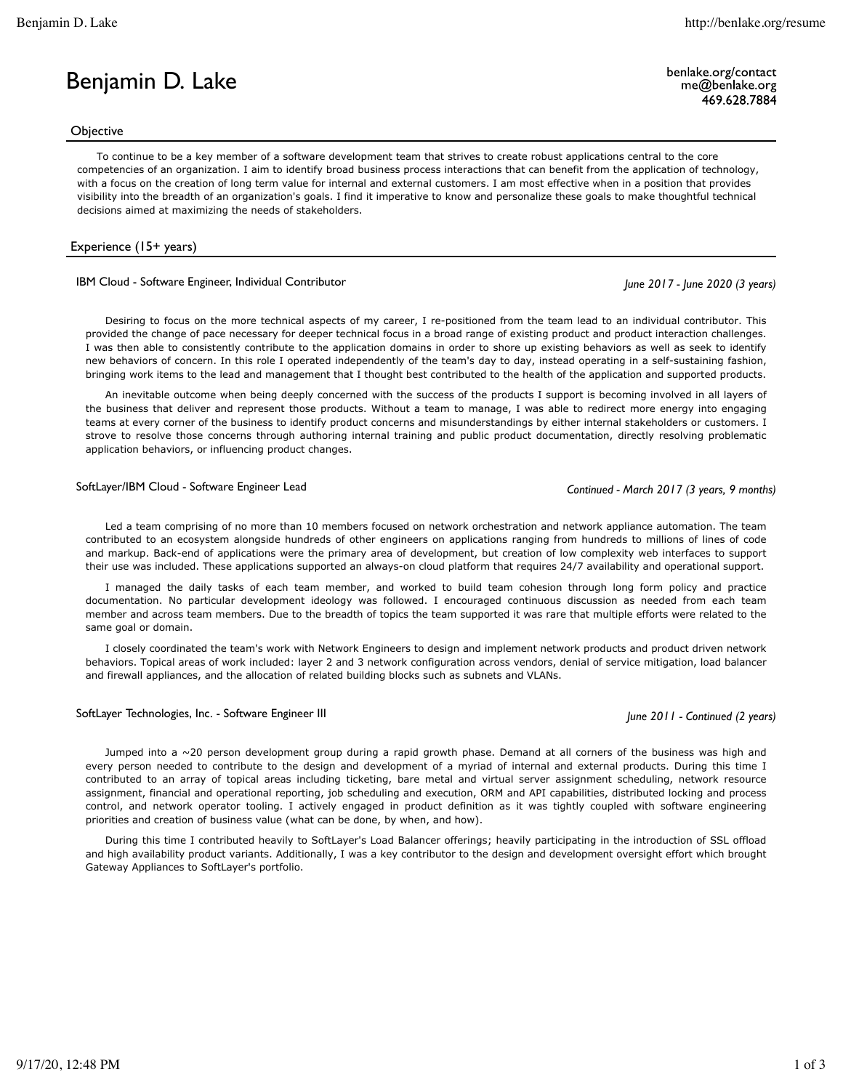## **Objective**

To continue to be a key member of a software development team that strives to create robust applications central to the core competencies of an organization. I aim to identify broad business process interactions that can benefit from the application of technology, with a focus on the creation of long term value for internal and external customers. I am most effective when in a position that provides visibility into the breadth of an organization's goals. I find it imperative to know and personalize these goals to make thoughtful technical decisions aimed at maximizing the needs of stakeholders.

## Experience (15+ years)

## IBM Cloud - Software Engineer, Individual Contributor *June 2017 - June 2020 (3 years)*

Desiring to focus on the more technical aspects of my career, I re-positioned from the team lead to an individual contributor. This provided the change of pace necessary for deeper technical focus in a broad range of existing product and product interaction challenges. I was then able to consistently contribute to the application domains in order to shore up existing behaviors as well as seek to identify new behaviors of concern. In this role I operated independently of the team's day to day, instead operating in a self-sustaining fashion, bringing work items to the lead and management that I thought best contributed to the health of the application and supported products.

An inevitable outcome when being deeply concerned with the success of the products I support is becoming involved in all layers of the business that deliver and represent those products. Without a team to manage, I was able to redirect more energy into engaging teams at every corner of the business to identify product concerns and misunderstandings by either internal stakeholders or customers. I strove to resolve those concerns through authoring internal training and public product documentation, directly resolving problematic application behaviors, or influencing product changes.

# SoftLayer/IBM Cloud - Software Engineer Lead *Continued - March 2017 (3 years, 9 months)*

Led a team comprising of no more than 10 members focused on network orchestration and network appliance automation. The team contributed to an ecosystem alongside hundreds of other engineers on applications ranging from hundreds to millions of lines of code and markup. Back-end of applications were the primary area of development, but creation of low complexity web interfaces to support their use was included. These applications supported an always-on cloud platform that requires 24/7 availability and operational support.

I managed the daily tasks of each team member, and worked to build team cohesion through long form policy and practice documentation. No particular development ideology was followed. I encouraged continuous discussion as needed from each team member and across team members. Due to the breadth of topics the team supported it was rare that multiple efforts were related to the same goal or domain.

I closely coordinated the team's work with Network Engineers to design and implement network products and product driven network behaviors. Topical areas of work included: layer 2 and 3 network configuration across vendors, denial of service mitigation, load balancer and firewall appliances, and the allocation of related building blocks such as subnets and VLANs.

# SoftLayer Technologies, Inc. - Software Engineer III *June 2011 - Continued (2 years)*

Jumped into a ~20 person development group during a rapid growth phase. Demand at all corners of the business was high and every person needed to contribute to the design and development of a myriad of internal and external products. During this time I contributed to an array of topical areas including ticketing, bare metal and virtual server assignment scheduling, network resource assignment, financial and operational reporting, job scheduling and execution, ORM and API capabilities, distributed locking and process control, and network operator tooling. I actively engaged in product definition as it was tightly coupled with software engineering priorities and creation of business value (what can be done, by when, and how).

During this time I contributed heavily to SoftLayer's Load Balancer offerings; heavily participating in the introduction of SSL offload and high availability product variants. Additionally, I was a key contributor to the design and development oversight effort which brought Gateway Appliances to SoftLayer's portfolio.

benlake.org/contact  $me@$ benlake.org 469.628.7884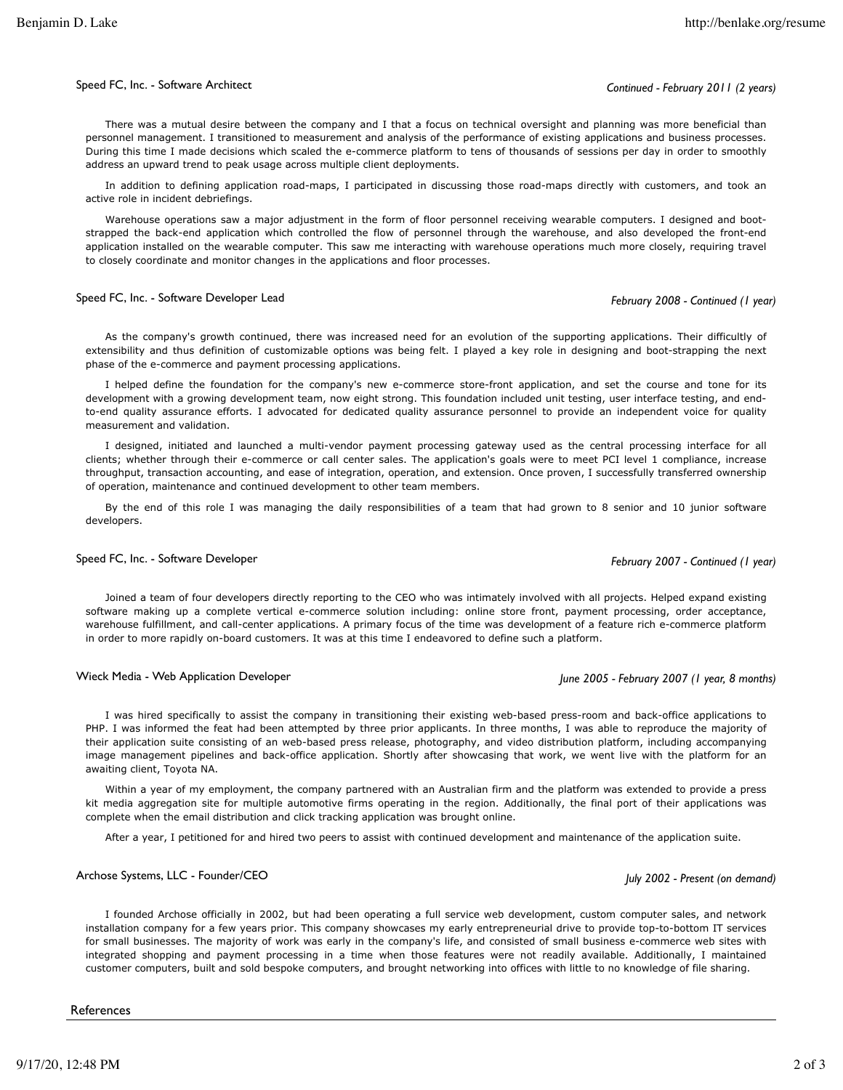#### Speed FC, Inc. - Software Architect *Continued - February 2011 (2 years)*

There was a mutual desire between the company and I that a focus on technical oversight and planning was more beneficial than personnel management. I transitioned to measurement and analysis of the performance of existing applications and business processes. During this time I made decisions which scaled the e-commerce platform to tens of thousands of sessions per day in order to smoothly address an upward trend to peak usage across multiple client deployments.

In addition to defining application road-maps, I participated in discussing those road-maps directly with customers, and took an active role in incident debriefings.

Warehouse operations saw a major adjustment in the form of floor personnel receiving wearable computers. I designed and bootstrapped the back-end application which controlled the flow of personnel through the warehouse, and also developed the front-end application installed on the wearable computer. This saw me interacting with warehouse operations much more closely, requiring travel to closely coordinate and monitor changes in the applications and floor processes.

## Speed FC, Inc. - Software Developer Lead *February 2008 - Continued (1 year)*

As the company's growth continued, there was increased need for an evolution of the supporting applications. Their difficultly of extensibility and thus definition of customizable options was being felt. I played a key role in designing and boot-strapping the next phase of the e-commerce and payment processing applications.

I helped define the foundation for the company's new e-commerce store-front application, and set the course and tone for its development with a growing development team, now eight strong. This foundation included unit testing, user interface testing, and endto-end quality assurance efforts. I advocated for dedicated quality assurance personnel to provide an independent voice for quality measurement and validation.

I designed, initiated and launched a multi-vendor payment processing gateway used as the central processing interface for all clients; whether through their e-commerce or call center sales. The application's goals were to meet PCI level 1 compliance, increase throughput, transaction accounting, and ease of integration, operation, and extension. Once proven, I successfully transferred ownership of operation, maintenance and continued development to other team members.

By the end of this role I was managing the daily responsibilities of a team that had grown to 8 senior and 10 junior software developers.

# Speed FC, Inc. - Software Developer *February 2007 - Continued (1 year)*

Joined a team of four developers directly reporting to the CEO who was intimately involved with all projects. Helped expand existing software making up a complete vertical e-commerce solution including: online store front, payment processing, order acceptance, warehouse fulfillment, and call-center applications. A primary focus of the time was development of a feature rich e-commerce platform in order to more rapidly on-board customers. It was at this time I endeavored to define such a platform.

## Wieck Media - Web Application Developer *June 2005 - February 2007 (1 year, 8 months)*

I was hired specifically to assist the company in transitioning their existing web-based press-room and back-office applications to PHP. I was informed the feat had been attempted by three prior applicants. In three months, I was able to reproduce the majority of their application suite consisting of an web-based press release, photography, and video distribution platform, including accompanying image management pipelines and back-office application. Shortly after showcasing that work, we went live with the platform for an awaiting client, Toyota NA.

Within a year of my employment, the company partnered with an Australian firm and the platform was extended to provide a press kit media aggregation site for multiple automotive firms operating in the region. Additionally, the final port of their applications was complete when the email distribution and click tracking application was brought online.

After a year, I petitioned for and hired two peers to assist with continued development and maintenance of the application suite.

# Archose Systems, LLC - Founder/CEO *July 2002 - Present (on demand)*

I founded Archose officially in 2002, but had been operating a full service web development, custom computer sales, and network installation company for a few years prior. This company showcases my early entrepreneurial drive to provide top-to-bottom IT services for small businesses. The majority of work was early in the company's life, and consisted of small business e-commerce web sites with integrated shopping and payment processing in a time when those features were not readily available. Additionally, I maintained customer computers, built and sold bespoke computers, and brought networking into offices with little to no knowledge of file sharing.

**References**